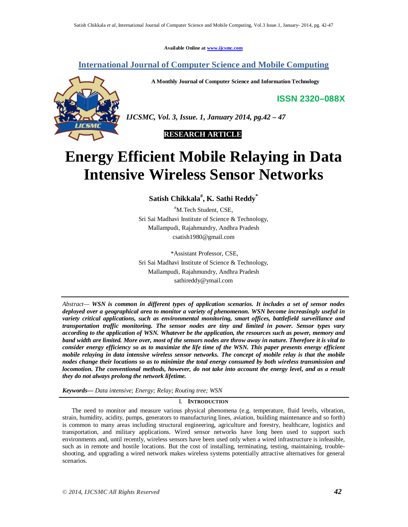**Available Online at www.ijcsmc.com**

# **International Journal of Computer Science and Mobile Computing**

**A Monthly Journal of Computer Science and Information Technology**

**ISSN 2320–088X**



*IJCSMC, Vol. 3, Issue. 1, January 2014, pg.42 – 47*

 **RESEARCH ARTICLE**

# **Energy Efficient Mobile Relaying in Data Intensive Wireless Sensor Networks**

**Satish Chikkala# , K. Sathi Reddy\***

#M.Tech Student, CSE, Sri Sai Madhavi Institute of Science & Technology, Mallampudi, Rajahmundry, Andhra Pradesh csatish1980@gmail.com

\*Assistant Professor, CSE, Sri Sai Madhavi Institute of Science & Technology, Mallampudi, Rajahmundry, Andhra Pradesh sathireddy@ymail.com

*Abstract— WSN is common in different types of application scenarios. It includes a set of sensor nodes deployed over a geographical area to monitor a variety of phenomenon. WSN become increasingly useful in variety critical applications, such as environmental monitoring, smart offices, battlefield surveillance and transportation traffic monitoring. The sensor nodes are tiny and limited in power. Sensor types vary according to the application of WSN. Whatever be the application, the resources such as power, memory and band width are limited. More over, most of the sensors nodes are throw away in nature. Therefore it is vital to consider energy efficiency so as to maximize the life time of the WSN. This paper presents energy efficient mobile relaying in data intensive wireless sensor networks. The concept of mobile relay is that the mobile nodes change their locations so as to minimize the total energy consumed by both wireless transmission and locomotion. The conventional methods, however, do not take into account the energy level, and as a result they do not always prolong the network lifetime.*

*Keywords— Data intensive; Energy; Relay; Routing tree; WSN*

# I. **INTRODUCTION**

 The need to monitor and measure various physical phenomena (e.g. temperature, fluid levels, vibration, strain, humidity, acidity, pumps, generators to manufacturing lines, aviation, building maintenance and so forth) is common to many areas including structural engineering, agriculture and forestry, healthcare, logistics and transportation, and military applications. Wired sensor networks have long been used to support such environments and, until recently, wireless sensors have been used only when a wired infrastructure is infeasible, such as in remote and hostile locations. But the cost of installing, terminating, testing, maintaining, troubleshooting, and upgrading a wired network makes wireless systems potentially attractive alternatives for general scenarios.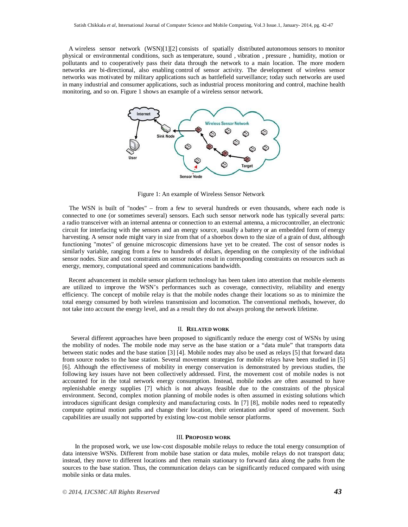A wireless sensor network (WSN)[1][2] consists of spatially distributed autonomous sensors to monitor physical or environmental conditions, such as temperature, sound , vibration , pressure , humidity, motion or pollutants and to cooperatively pass their data through the network to a main location. The more modern networks are bi-directional, also enabling control of sensor activity. The development of wireless sensor networks was motivated by military applications such as battlefield surveillance; today such networks are used in many industrial and consumer applications, such as industrial process monitoring and control, machine health monitoring, and so on. Figure 1 shows an example of a wireless sensor network.



Figure 1: An example of Wireless Sensor Network

The WSN is built of "nodes" – from a few to several hundreds or even thousands, where each node is connected to one (or sometimes several) sensors. Each such sensor network node has typically several parts: a radio transceiver with an internal antenna or connection to an external antenna, a microcontroller, an electronic circuit for interfacing with the sensors and an energy source, usually a battery or an embedded form of energy harvesting. A sensor node might vary in size from that of a shoebox down to the size of a grain of dust, although functioning "motes" of genuine microscopic dimensions have yet to be created. The cost of sensor nodes is similarly variable, ranging from a few to hundreds of dollars, depending on the complexity of the individual sensor nodes. Size and cost constraints on sensor nodes result in corresponding constraints on resources such as energy, memory, computational speed and communications bandwidth.

 Recent advancement in mobile sensor platform technology has been taken into attention that mobile elements are utilized to improve the WSN's performances such as coverage, connectivity, reliability and energy efficiency. The concept of mobile relay is that the mobile nodes change their locations so as to minimize the total energy consumed by both wireless transmission and locomotion. The conventional methods, however, do not take into account the energy level, and as a result they do not always prolong the network lifetime.

# II. **RELATED WORK**

 Several different approaches have been proposed to significantly reduce the energy cost of WSNs by using the mobility of nodes. The mobile node may serve as the base station or a "data mule" that transports data between static nodes and the base station [3] [4]. Mobile nodes may also be used as relays [5] that forward data from source nodes to the base station. Several movement strategies for mobile relays have been studied in [5] [6]. Although the effectiveness of mobility in energy conservation is demonstrated by previous studies, the following key issues have not been collectively addressed. First, the movement cost of mobile nodes is not accounted for in the total network energy consumption. Instead, mobile nodes are often assumed to have replenishable energy supplies [7] which is not always feasible due to the constraints of the physical environment. Second, complex motion planning of mobile nodes is often assumed in existing solutions which introduces significant design complexity and manufacturing costs. In [7] [8], mobile nodes need to repeatedly compute optimal motion paths and change their location, their orientation and/or speed of movement. Such capabilities are usually not supported by existing low-cost mobile sensor platforms.

#### III. **PROPOSED WORK**

 In the proposed work, we use low-cost disposable mobile relays to reduce the total energy consumption of data intensive WSNs. Different from mobile base station or data mules, mobile relays do not transport data; instead, they move to different locations and then remain stationary to forward data along the paths from the sources to the base station. Thus, the communication delays can be significantly reduced compared with using mobile sinks or data mules.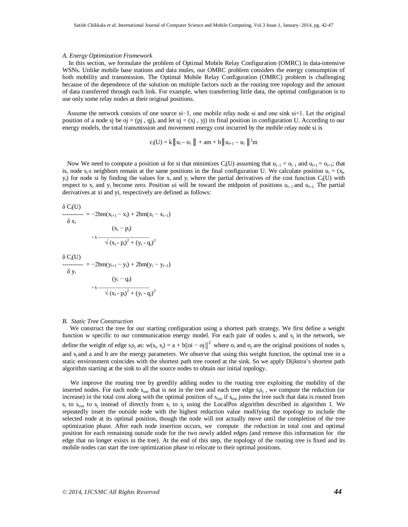#### *A. Energy Optimization Framework*

 In this section, we formulate the problem of Optimal Mobile Relay Configuration (OMRC) in data-intensive WSNs. Unlike mobile base stations and data mules, our OMRC problem considers the energy consumption of both mobility and transmission. The Optimal Mobile Relay Configuration (OMRC) problem is challenging because of the dependence of the solution on multiple factors such as the routing tree topology and the amount of data transferred through each link. For example, when transferring little data, the optimal configuration is to use only some relay nodes at their original positions.

 Assume the network consists of one source si−1, one mobile relay node si and one sink si+1. Let the original position of a node sj be oj = (pj, qj), and let uj = (xj, yj) its final position in configuration U. According to our energy models, the total transmission and movement energy cost incurred by the mobile relay node si is

 $c_i(U) = k || u_i - o_i || + am + b || u_{i+1} - u_i ||^2 m$ 

Now We need to compute a position ui for si that minimizes C<sub>i</sub>(U) assuming that  $u_{i-1} = o_{i-1}$  and  $u_{i+1} = o_{i+1}$ ; that is, node  $s_i$ 's neighbors remain at the same positions in the final configuration U. We calculate position  $u_i = (x_i,$  $y_i$ ) for node si by finding the values for  $x_i$  and  $y_i$  where the partial derivatives of the cost function  $C_i(U)$  with respect to  $x_i$  and  $y_i$  become zero. Position ui will be toward the midpoint of positions u<sub>i−1</sub> and u<sub>i+1</sub>. The partial derivatives at xi and yi, respectively are defined as follows:

$$
\delta C_i(U)
$$
\n
$$
1 - 2bm(x_{i+1} - x_i) + 2bm(x_i - x_{i-1})
$$
\n
$$
\delta x_i
$$
\n
$$
(x_i - p_i)
$$
\n
$$
+ k \frac{(x_i - p_i)}{\sqrt{(x_i - p_i)^2 + (y_i - q_i)^2}}
$$
\n
$$
\delta C_i(U)
$$
\n
$$
1 - 2bm(y_{i+1} - y_i) + 2bm(y_i - y_{i-1})
$$
\n
$$
\delta y_i
$$
\n
$$
(y_i - q_i)
$$
\n
$$
+ k \frac{(x_i - p_i)^2 + (y_i - q_i)^2}{\sqrt{(x_i - p_i)^2 + (y_i - q_i)^2}}
$$

#### *B. Static Tree Construction*

 We construct the tree for our starting configuration using a shortest path strategy. We first define a weight function w specific to our communication energy model. For each pair of nodes  $s_i$  and  $s_j$  in the network, we define the weight of edge  $s_i s_j$  as:  $w(s_i, s_j) = a + b ||oi - aj||^2$  where  $o_i$  and  $o_j$  are the original positions of nodes  $s_i$ and s<sub>i</sub> and a and b are the energy parameters. We observe that using this weight function, the optimal tree in a static environment coincides with the shortest path tree rooted at the sink. So we apply Dijkstra's shortest path algorithm starting at the sink to all the source nodes to obtain our initial topology.

 We improve the routing tree by greedily adding nodes to the routing tree exploiting the mobility of the inserted nodes. For each node  $s_{\text{out}}$  that is not in the tree and each tree edge  $s_i s_j$ , we compute the reduction (or increase) in the total cost along with the optimal position of  $s_{out}$  if  $s_{out}$  joins the tree such that data is routed from  $s_i$  to  $s_{0}$  instead of directly from  $s_i$  to  $s_j$  using the LocalPos algorithm described in algorithm 1. We repeatedly insert the outside node with the highest reduction value modifying the topology to include the selected node at its optimal position, though the node will not actually move until the completion of the tree optimization phase. After each node insertion occurs, we compute the reduction in total cost and optimal position for each remaining outside node for the two newly added edges (and remove this information for the edge that no longer exists in the tree). At the end of this step, the topology of the routing tree is fixed and its mobile nodes can start the tree optimization phase to relocate to their optimal positions.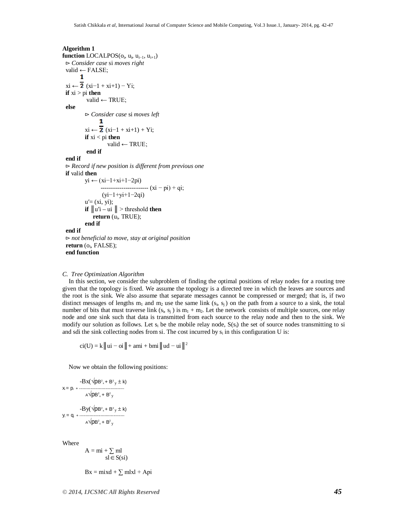# **Algorithm 1**  $function$  LOCALPOS( $o_i$ ,  $u_i$ ,  $u_{i-1}$ ,  $u_{i+1}$ )

 ⊳ *Consider case* si *moves right* valid ← FALSE;<br>1  $xi \leftarrow \overline{2}$  (xi-1 + xi+1) – Yi; **if**  $xi > pi$  **then**  valid ← TRUE;  **else** ⊳ *Consider case* si *moves left* т  $xi \leftarrow \overline{2} (xi-1 + xi+1) + Yi;$ **if** xi < pi **then** valid ← TRUE; **end if end if** ⊳ *Record if new position is different from previous one*  **if** valid **then** yi ← (xi−1+xi+1−2pi) ----------------------- (xi − pi) + qi; (yi−1+yi+1−2qi)  $u' = (xi, yi);$ **if**  $||u'i - ui||$  > threshold **then return** (u<sub>i</sub>, TRUE); **end if end if** ⊳ *not beneficial to move, stay at original position*  $return (o_i, FALSE);$  **end function**

## *C. Tree Optimization Algorithm*

 In this section, we consider the subproblem of finding the optimal positions of relay nodes for a routing tree given that the topology is fixed. We assume the topology is a directed tree in which the leaves are sources and the root is the sink. We also assume that separate messages cannot be compressed or merged; that is, if two distinct messages of lengths  $m_1$  and  $m_2$  use the same link  $(s_i, s_j)$  on the path from a source to a sink, the total number of bits that must traverse link  $(s_i, s_j)$  is  $m_1 + m_2$ . Let the network consists of multiple sources, one relay node and one sink such that data is transmitted from each source to the relay node and then to the sink. We modify our solution as follows. Let  $s_i$  be the mobile relay node,  $S(s_i)$  the set of source nodes transmitting to si and sdi the sink collecting nodes from si. The cost incurred by  $s_i$  in this configuration U is:

 $ci(U) = k \parallel ui - ci \parallel + ami + bmi \parallel ud - ui \parallel^2$ 

Now we obtain the following positions:

$$
x = p_i + \frac{-Bx(\sqrt{p}B^2x + B^2y \pm k)}{A\sqrt{p}B^2x + B^2y}
$$
  
\n
$$
-By(\sqrt{p}B^2x + B^2y \pm k)
$$
  
\n
$$
y_i = q_i + \frac{Bxy + B^2y \pm k}{A\sqrt{p}B^2x + B^2y}
$$

Where

 $A = mi + \sum ml$  $s \overline{l} \in S(si)$ 

 $Bx = mixd + \sum mlxl + Api$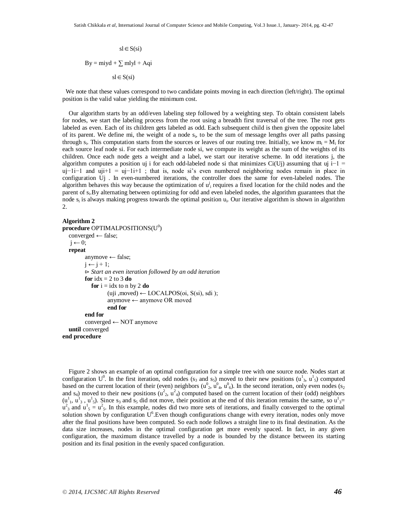$sl \in S(si)$  $By = miyd + \sum mlyl + Aqi$  $sl \in S(si)$ 

We note that these values correspond to two candidate points moving in each direction (left/right). The optimal position is the valid value yielding the minimum cost.

 Our algorithm starts by an odd/even labeling step followed by a weighting step. To obtain consistent labels for nodes, we start the labeling process from the root using a breadth first traversal of the tree. The root gets labeled as even. Each of its children gets labeled as odd. Each subsequent child is then given the opposite label of its parent. We define mi, the weight of a node s<sup>i</sup> , to be the sum of message lengths over all paths passing through  $s_i$ . This computation starts from the sources or leaves of our routing tree. Initially, we know  $m_i = M_i$  for each source leaf node si. For each intermediate node si, we compute its weight as the sum of the weights of its children. Once each node gets a weight and a label, we start our iterative scheme. In odd iterations j, the algorithm computes a position uj i for each odd-labeled node si that minimizes Ci(Uj) assuming that uj i−1 = uj−1i−1 and uji+1 = uj−1i+1 ; that is, node si's even numbered neighboring nodes remain in place in configuration Uj . In even-numbered iterations, the controller does the same for even-labeled nodes. The algorithm behaves this way because the optimization of  $u_i^j$  requires a fixed location for the child nodes and the parent of  $s_i$ . By alternating between optimizing for odd and even labeled nodes, the algorithm guarantees that the node  $s_i$  is always making progress towards the optimal position  $u_i$ . Our iterative algorithm is shown in algorithm 2.

#### **Algorithm 2**

```
procedure OPTIMALPOSITIONS(U0
)
   converged ← false;
  j \leftarrow 0; repeat
        anymove ← false;
        i \leftarrow i + 1;
        ⊳ Start an even iteration followed by an odd iteration
        for idx = 2 to 3 do
          for i = i dx to n by 2 do
                 (uji, moved) ← LOCALPOS(oi, S(si), sdi);
                 anymove ← anymove OR moved
                 end for
        end for
        converged ← NOT anymove
   until converged
end procedure
```
 Figure 2 shows an example of an optimal configuration for a simple tree with one source node. Nodes start at configuration  $U^0$ . In the first iteration, odd nodes (s<sub>3</sub> and s<sub>5</sub>) moved to their new positions ( $u^1_3$ ,  $u^1_5$ ) computed based on the current location of their (even) neighbors ( $u^0$ ,  $u^0$ <sub>4</sub>,  $u^0$ <sub>6</sub>). In the second iteration, only even nodes (s<sub>2</sub>) and s<sub>4</sub>) moved to their new positions ( $u^2$ ,  $u^2$ <sub>4</sub>) computed based on the current location of their (odd) neighbors  $(u<sup>1</sup>, u<sup>1</sup><sub>3</sub>, u<sup>1</sup><sub>5</sub>)$ . Since s<sub>3</sub> and s<sub>5</sub> did not move, their position at the end of this iteration remains the same, so  $u<sup>1</sup><sub>3</sub>=$  $u_3^2$  and  $u_5^1 = u_5^2$ . In this example, nodes did two more sets of iterations, and finally converged to the optimal solution shown by configuration U<sup>6</sup>. Even though configurations change with every iteration, nodes only move after the final positions have been computed. So each node follows a straight line to its final destination. As the data size increases, nodes in the optimal configuration get more evenly spaced. In fact, in any given configuration, the maximum distance travelled by a node is bounded by the distance between its starting position and its final position in the evenly spaced configuration.